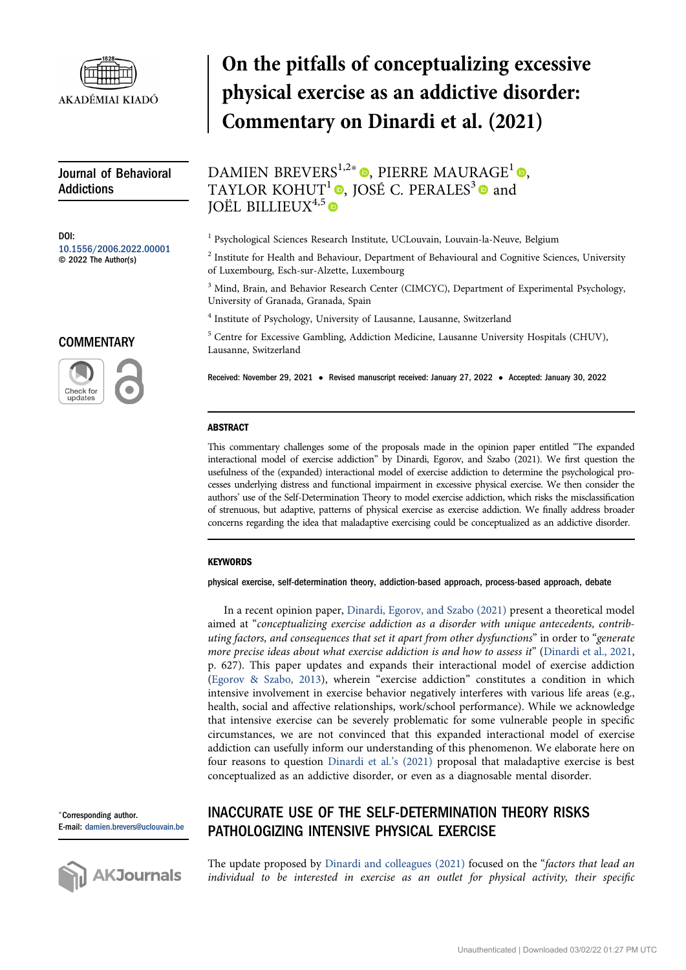

Journal of Behavioral Addictions

DOI: [10.1556/2006.2022.00001](https://doi.org/10.1556/2006.2022.00001) © 2022 The Author(s)

#### **COMMENTARY**



# On the pitfalls of conceptualizing excessive physical exercise as an addictive disorder: Commentary on Dinardi et al. (2021)

DAMIEN BREVERS<sup>1[,](https://orcid.org/0000-0003-0197-0810)2\*</sup>  $\bullet$ , PIERRE MAURAGE<sup>1</sup> $\bullet$ , TAYLOR KOHUT<sup>1</sup>  $\bullet$ [,](https://orcid.org/0000-0003-1971-6175) JOSÉ C. PERALES<sup>3</sup> $\bullet$  and  $IO$ ËL BILLIEUX $4,5$ 

<sup>1</sup> Psychological Sciences Research Institute, UCLouvain, Louvain-la-Neuve, Belgium

<sup>2</sup> Institute for Health and Behaviour, Department of Behavioural and Cognitive Sciences, University of Luxembourg, Esch-sur-Alzette, Luxembourg

<sup>3</sup> Mind, Brain, and Behavior Research Center (CIMCYC), Department of Experimental Psychology, University of Granada, Granada, Spain

<sup>4</sup> Institute of Psychology, University of Lausanne, Lausanne, Switzerland

 $5$  Centre for Excessive Gambling, Addiction Medicine, Lausanne University Hospitals (CHUV), Lausanne, Switzerland

Received: November 29, 2021 • Revised manuscript received: January 27, 2022 • Accepted: January 30, 2022

#### ABSTRACT

This commentary challenges some of the proposals made in the opinion paper entitled "The expanded interactional model of exercise addiction" by Dinardi, Egorov, and Szabo (2021). We first question the usefulness of the (expanded) interactional model of exercise addiction to determine the psychological processes underlying distress and functional impairment in excessive physical exercise. We then consider the authors' use of the Self-Determination Theory to model exercise addiction, which risks the misclassification of strenuous, but adaptive, patterns of physical exercise as exercise addiction. We finally address broader concerns regarding the idea that maladaptive exercising could be conceptualized as an addictive disorder.

#### **KEYWORDS**

physical exercise, self-determination theory, addiction-based approach, process-based approach, debate

In a recent opinion paper, [Dinardi, Egorov, and Szabo \(2021\)](#page-4-0) present a theoretical model aimed at "conceptualizing exercise addiction as a disorder with unique antecedents, contributing factors, and consequences that set it apart from other dysfunctions" in order to "generate more precise ideas about what exercise addiction is and how to assess it" ([Dinardi et al., 2021,](#page-4-0) p. 627). This paper updates and expands their interactional model of exercise addiction ([Egorov & Szabo, 2013\)](#page-4-1), wherein "exercise addiction" constitutes a condition in which intensive involvement in exercise behavior negatively interferes with various life areas (e.g., health, social and affective relationships, work/school performance). While we acknowledge that intensive exercise can be severely problematic for some vulnerable people in specific circumstances, we are not convinced that this expanded interactional model of exercise addiction can usefully inform our understanding of this phenomenon. We elaborate here on four reasons to question [Dinardi et al.](#page-4-0)'s (2021) proposal that maladaptive exercise is best conceptualized as an addictive disorder, or even as a diagnosable mental disorder.

<sup>p</sup>Corresponding author. E-mail: [damien.brevers@uclouvain.be](mailto:damien.brevers@uclouvain.be)



# INACCURATE USE OF THE SELF-DETERMINATION THEORY RISKS PATHOLOGIZING INTENSIVE PHYSICAL EXERCISE

The update proposed by [Dinardi and colleagues \(2021\)](#page-4-0) focused on the "factors that lead an individual to be interested in exercise as an outlet for physical activity, their specific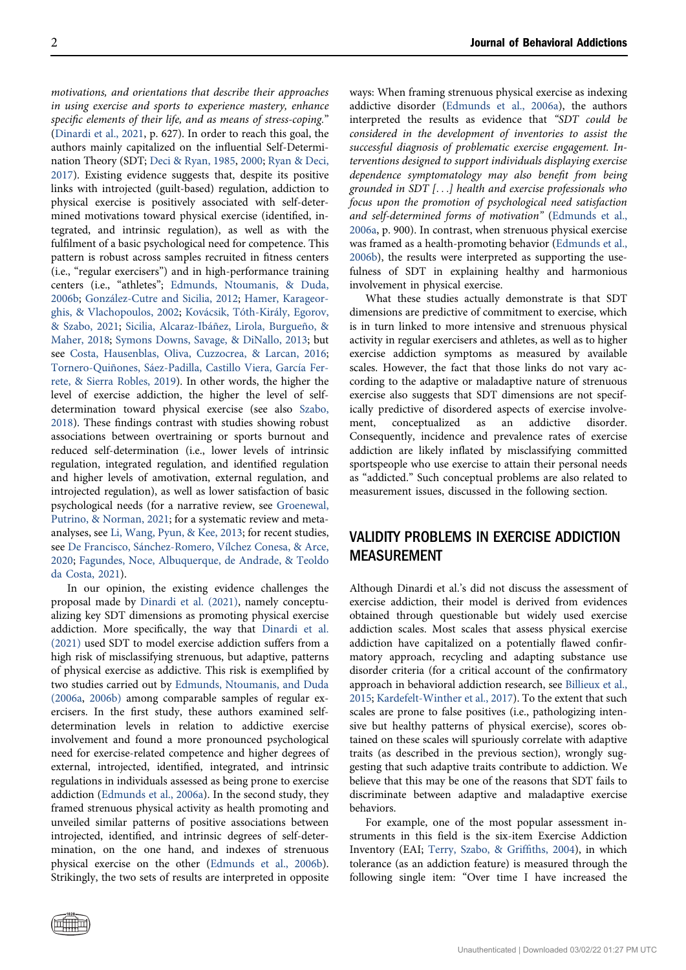motivations, and orientations that describe their approaches in using exercise and sports to experience mastery, enhance specific elements of their life, and as means of stress-coping." ([Dinardi et al., 2021,](#page-4-0) p. 627). In order to reach this goal, the authors mainly capitalized on the influential Self-Determination Theory (SDT; [Deci & Ryan, 1985](#page-4-2), [2000](#page-4-3); [Ryan & Deci,](#page-4-4) [2017](#page-4-4)). Existing evidence suggests that, despite its positive links with introjected (guilt-based) regulation, addiction to physical exercise is positively associated with self-determined motivations toward physical exercise (identified, integrated, and intrinsic regulation), as well as with the fulfilment of a basic psychological need for competence. This pattern is robust across samples recruited in fitness centers (i.e., "regular exercisers") and in high-performance training centers (i.e., "athletes"; [Edmunds, Ntoumanis, & Duda,](#page-4-5) [2006b](#page-4-5); [González-Cutre and Sicilia, 2012;](#page-4-6) [Hamer, Karageor](#page-4-7)[ghis, & Vlachopoulos, 2002](#page-4-7); [Kovácsik, Tóth-Király, Egorov,](#page-4-8) [& Szabo, 2021](#page-4-8); [Sicilia, Alcaraz-Ibáñez, Lirola, Burgueño, &](#page-4-9) [Maher, 2018](#page-4-9); [Symons Downs, Savage, & DiNallo, 2013;](#page-5-0) but see [Costa, Hausenblas, Oliva, Cuzzocrea, & Larcan, 2016](#page-4-10); [Tornero-Quiñones, Sáez-Padilla, Castillo Viera, García Fer](#page-5-1)[rete, & Sierra Robles, 2019\)](#page-5-1). In other words, the higher the level of exercise addiction, the higher the level of selfdetermination toward physical exercise (see also [Szabo,](#page-5-2) [2018](#page-5-2)). These findings contrast with studies showing robust associations between overtraining or sports burnout and reduced self-determination (i.e., lower levels of intrinsic regulation, integrated regulation, and identified regulation and higher levels of amotivation, external regulation, and introjected regulation), as well as lower satisfaction of basic psychological needs (for a narrative review, see [Groenewal,](#page-4-11) [Putrino, & Norman, 2021;](#page-4-11) for a systematic review and metaanalyses, see [Li, Wang, Pyun, & Kee, 2013](#page-4-12); for recent studies, see [De Francisco, Sánchez-Romero, Vílchez Conesa, & Arce,](#page-4-13) [2020](#page-4-13); [Fagundes, Noce, Albuquerque, de Andrade, & Teoldo](#page-4-14) [da Costa, 2021](#page-4-14)).

In our opinion, the existing evidence challenges the proposal made by [Dinardi et al. \(2021\),](#page-4-0) namely conceptualizing key SDT dimensions as promoting physical exercise addiction. More specifically, the way that [Dinardi et al.](#page-4-0) [\(2021\)](#page-4-0) used SDT to model exercise addiction suffers from a high risk of misclassifying strenuous, but adaptive, patterns of physical exercise as addictive. This risk is exemplified by two studies carried out by [Edmunds, Ntoumanis, and Duda](#page-4-15) [\(2006a](#page-4-15), [2006b\)](#page-4-5) among comparable samples of regular exercisers. In the first study, these authors examined selfdetermination levels in relation to addictive exercise involvement and found a more pronounced psychological need for exercise-related competence and higher degrees of external, introjected, identified, integrated, and intrinsic regulations in individuals assessed as being prone to exercise addiction [\(Edmunds et al., 2006a](#page-4-15)). In the second study, they framed strenuous physical activity as health promoting and unveiled similar patterns of positive associations between introjected, identified, and intrinsic degrees of self-determination, on the one hand, and indexes of strenuous physical exercise on the other ([Edmunds et al., 2006b\)](#page-4-5). Strikingly, the two sets of results are interpreted in opposite

ways: When framing strenuous physical exercise as indexing addictive disorder [\(Edmunds et al., 2006a\)](#page-4-15), the authors interpreted the results as evidence that "SDT could be considered in the development of inventories to assist the successful diagnosis of problematic exercise engagement. Interventions designed to support individuals displaying exercise dependence symptomatology may also benefit from being grounded in SDT [...] health and exercise professionals who focus upon the promotion of psychological need satisfaction and self-determined forms of motivation" [\(Edmunds et al.,](#page-4-15) [2006a,](#page-4-15) p. 900). In contrast, when strenuous physical exercise was framed as a health-promoting behavior ([Edmunds et al.,](#page-4-5) [2006b](#page-4-5)), the results were interpreted as supporting the usefulness of SDT in explaining healthy and harmonious involvement in physical exercise.

What these studies actually demonstrate is that SDT dimensions are predictive of commitment to exercise, which is in turn linked to more intensive and strenuous physical activity in regular exercisers and athletes, as well as to higher exercise addiction symptoms as measured by available scales. However, the fact that those links do not vary according to the adaptive or maladaptive nature of strenuous exercise also suggests that SDT dimensions are not specifically predictive of disordered aspects of exercise involvement, conceptualized as an addictive disorder. Consequently, incidence and prevalence rates of exercise addiction are likely inflated by misclassifying committed sportspeople who use exercise to attain their personal needs as "addicted." Such conceptual problems are also related to measurement issues, discussed in the following section.

# VALIDITY PROBLEMS IN EXERCISE ADDICTION MEASUREMENT

Although Dinardi et al.'s did not discuss the assessment of exercise addiction, their model is derived from evidences obtained through questionable but widely used exercise addiction scales. Most scales that assess physical exercise addiction have capitalized on a potentially flawed confirmatory approach, recycling and adapting substance use disorder criteria (for a critical account of the confirmatory approach in behavioral addiction research, see [Billieux et al.,](#page-3-0) [2015](#page-3-0); [Kardefelt-Winther et al., 2017](#page-4-16)). To the extent that such scales are prone to false positives (i.e., pathologizing intensive but healthy patterns of physical exercise), scores obtained on these scales will spuriously correlate with adaptive traits (as described in the previous section), wrongly suggesting that such adaptive traits contribute to addiction. We believe that this may be one of the reasons that SDT fails to discriminate between adaptive and maladaptive exercise behaviors.

For example, one of the most popular assessment instruments in this field is the six-item Exercise Addiction Inventory (EAI; [Terry, Szabo, & Grif](#page-5-3)fiths, 2004), in which tolerance (as an addiction feature) is measured through the following single item: "Over time I have increased the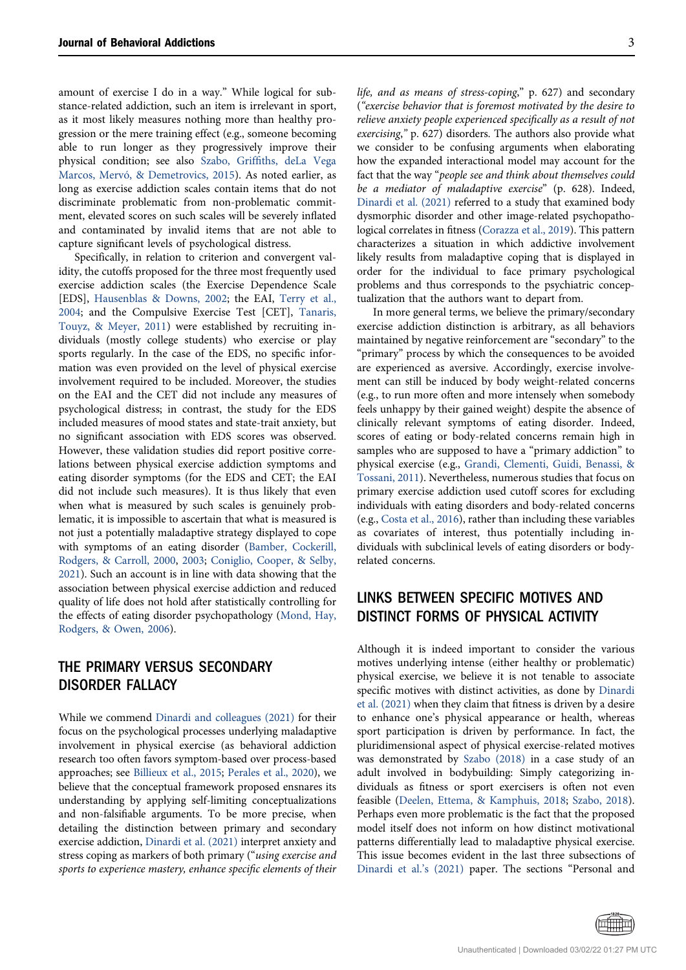amount of exercise I do in a way." While logical for substance-related addiction, such an item is irrelevant in sport, as it most likely measures nothing more than healthy progression or the mere training effect (e.g., someone becoming able to run longer as they progressively improve their physical condition; see also Szabo, Griffi[ths, deLa Vega](#page-5-4) [Marcos, Mervó, & Demetrovics, 2015\)](#page-5-4). As noted earlier, as long as exercise addiction scales contain items that do not discriminate problematic from non-problematic commitment, elevated scores on such scales will be severely inflated and contaminated by invalid items that are not able to capture significant levels of psychological distress.

Specifically, in relation to criterion and convergent validity, the cutoffs proposed for the three most frequently used exercise addiction scales (the Exercise Dependence Scale [EDS], [Hausenblas & Downs, 2002](#page-4-17); the EAI, [Terry et al.,](#page-5-3) [2004;](#page-5-3) and the Compulsive Exercise Test [CET], [Tanaris,](#page-5-5) [Touyz, & Meyer, 2011\)](#page-5-5) were established by recruiting individuals (mostly college students) who exercise or play sports regularly. In the case of the EDS, no specific information was even provided on the level of physical exercise involvement required to be included. Moreover, the studies on the EAI and the CET did not include any measures of psychological distress; in contrast, the study for the EDS included measures of mood states and state-trait anxiety, but no significant association with EDS scores was observed. However, these validation studies did report positive correlations between physical exercise addiction symptoms and eating disorder symptoms (for the EDS and CET; the EAI did not include such measures). It is thus likely that even when what is measured by such scales is genuinely problematic, it is impossible to ascertain that what is measured is not just a potentially maladaptive strategy displayed to cope with symptoms of an eating disorder ([Bamber, Cockerill,](#page-3-1) [Rodgers, & Carroll, 2000,](#page-3-1) [2003](#page-4-8); [Coniglio, Cooper, & Selby,](#page-3-2) [2021\)](#page-3-2). Such an account is in line with data showing that the association between physical exercise addiction and reduced quality of life does not hold after statistically controlling for the effects of eating disorder psychopathology [\(Mond, Hay,](#page-4-18) [Rodgers, & Owen, 2006](#page-4-18)).

## THE PRIMARY VERSUS SECONDARY DISORDER FALLACY

While we commend [Dinardi and colleagues \(2021\)](#page-4-0) for their focus on the psychological processes underlying maladaptive involvement in physical exercise (as behavioral addiction research too often favors symptom-based over process-based approaches; see [Billieux et al., 2015](#page-3-0); [Perales et al., 2020](#page-4-19)), we believe that the conceptual framework proposed ensnares its understanding by applying self-limiting conceptualizations and non-falsifiable arguments. To be more precise, when detailing the distinction between primary and secondary exercise addiction, [Dinardi et al. \(2021\)](#page-4-0) interpret anxiety and stress coping as markers of both primary ("using exercise and sports to experience mastery, enhance specific elements of their life, and as means of stress-coping," p. 627) and secondary ("exercise behavior that is foremost motivated by the desire to relieve anxiety people experienced specifically as a result of not exercising," p. 627) disorders. The authors also provide what we consider to be confusing arguments when elaborating how the expanded interactional model may account for the fact that the way "people see and think about themselves could be a mediator of maladaptive exercise" (p. 628). Indeed, [Dinardi et al. \(2021\)](#page-4-0) referred to a study that examined body dysmorphic disorder and other image-related psychopathological correlates in fitness ([Corazza et al., 2019\)](#page-3-3). This pattern characterizes a situation in which addictive involvement likely results from maladaptive coping that is displayed in order for the individual to face primary psychological problems and thus corresponds to the psychiatric conceptualization that the authors want to depart from.

In more general terms, we believe the primary/secondary exercise addiction distinction is arbitrary, as all behaviors maintained by negative reinforcement are "secondary" to the "primary" process by which the consequences to be avoided are experienced as aversive. Accordingly, exercise involvement can still be induced by body weight-related concerns (e.g., to run more often and more intensely when somebody feels unhappy by their gained weight) despite the absence of clinically relevant symptoms of eating disorder. Indeed, scores of eating or body-related concerns remain high in samples who are supposed to have a "primary addiction" to physical exercise (e.g., [Grandi, Clementi, Guidi, Benassi, &](#page-4-20) [Tossani, 2011](#page-4-20)). Nevertheless, numerous studies that focus on primary exercise addiction used cutoff scores for excluding individuals with eating disorders and body-related concerns (e.g., [Costa et al., 2016](#page-4-10)), rather than including these variables as covariates of interest, thus potentially including individuals with subclinical levels of eating disorders or bodyrelated concerns.

# LINKS BETWEEN SPECIFIC MOTIVES AND DISTINCT FORMS OF PHYSICAL ACTIVITY

Although it is indeed important to consider the various motives underlying intense (either healthy or problematic) physical exercise, we believe it is not tenable to associate specific motives with distinct activities, as done by [Dinardi](#page-4-0) [et al. \(2021\)](#page-4-0) when they claim that fitness is driven by a desire to enhance one's physical appearance or health, whereas sport participation is driven by performance. In fact, the pluridimensional aspect of physical exercise-related motives was demonstrated by [Szabo \(2018\)](#page-5-2) in a case study of an adult involved in bodybuilding: Simply categorizing individuals as fitness or sport exercisers is often not even feasible [\(Deelen, Ettema, & Kamphuis, 2018](#page-4-21); [Szabo, 2018](#page-5-2)). Perhaps even more problematic is the fact that the proposed model itself does not inform on how distinct motivational patterns differentially lead to maladaptive physical exercise. This issue becomes evident in the last three subsections of [Dinardi et al.](#page-4-0)'s (2021) paper. The sections "Personal and

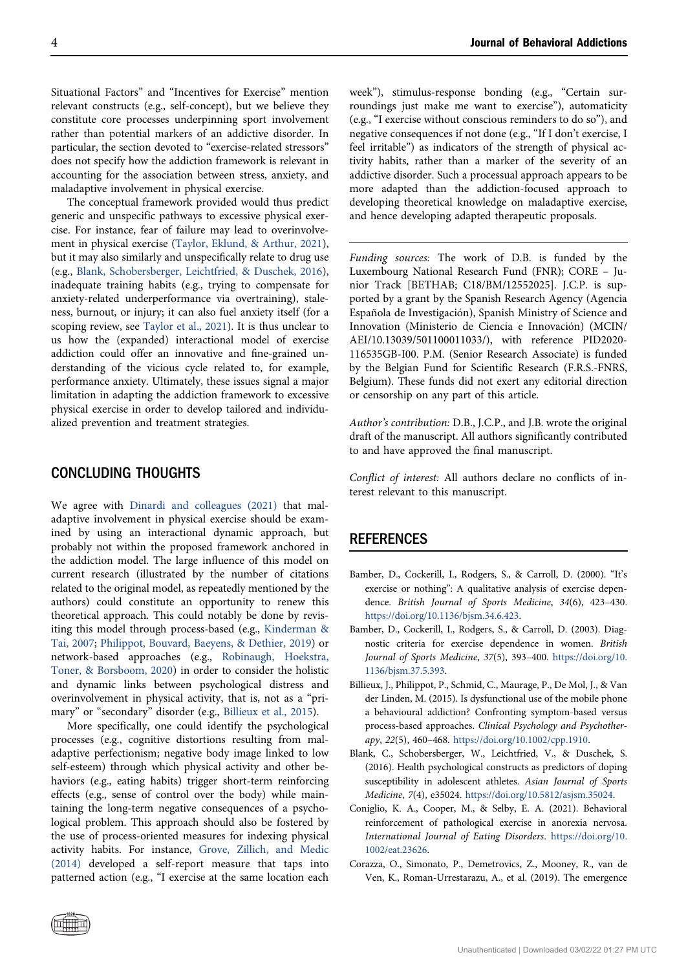Situational Factors" and "Incentives for Exercise" mention relevant constructs (e.g., self-concept), but we believe they constitute core processes underpinning sport involvement rather than potential markers of an addictive disorder. In particular, the section devoted to "exercise-related stressors" does not specify how the addiction framework is relevant in accounting for the association between stress, anxiety, and maladaptive involvement in physical exercise.

The conceptual framework provided would thus predict generic and unspecific pathways to excessive physical exercise. For instance, fear of failure may lead to overinvolvement in physical exercise [\(Taylor, Eklund, & Arthur, 2021\)](#page-5-6), but it may also similarly and unspecifically relate to drug use (e.g., [Blank, Schobersberger, Leichtfried, & Duschek, 2016\)](#page-3-4), inadequate training habits (e.g., trying to compensate for anxiety-related underperformance via overtraining), staleness, burnout, or injury; it can also fuel anxiety itself (for a scoping review, see [Taylor et al., 2021](#page-5-6)). It is thus unclear to us how the (expanded) interactional model of exercise addiction could offer an innovative and fine-grained understanding of the vicious cycle related to, for example, performance anxiety. Ultimately, these issues signal a major limitation in adapting the addiction framework to excessive physical exercise in order to develop tailored and individualized prevention and treatment strategies.

### CONCLUDING THOUGHTS

We agree with [Dinardi and colleagues \(2021\)](#page-4-0) that maladaptive involvement in physical exercise should be examined by using an interactional dynamic approach, but probably not within the proposed framework anchored in the addiction model. The large influence of this model on current research (illustrated by the number of citations related to the original model, as repeatedly mentioned by the authors) could constitute an opportunity to renew this theoretical approach. This could notably be done by revisiting this model through process-based (e.g., [Kinderman &](#page-4-22) [Tai, 2007;](#page-4-22) [Philippot, Bouvard, Baeyens, & Dethier, 2019](#page-4-23)) or network-based approaches (e.g., [Robinaugh, Hoekstra,](#page-4-24) [Toner, & Borsboom, 2020](#page-4-24)) in order to consider the holistic and dynamic links between psychological distress and overinvolvement in physical activity, that is, not as a "primary" or "secondary" disorder (e.g., [Billieux et al., 2015](#page-3-0)).

More specifically, one could identify the psychological processes (e.g., cognitive distortions resulting from maladaptive perfectionism; negative body image linked to low self-esteem) through which physical activity and other behaviors (e.g., eating habits) trigger short-term reinforcing effects (e.g., sense of control over the body) while maintaining the long-term negative consequences of a psychological problem. This approach should also be fostered by the use of process-oriented measures for indexing physical activity habits. For instance, [Grove, Zillich, and Medic](#page-4-25) [\(2014\)](#page-4-25) developed a self-report measure that taps into patterned action (e.g., "I exercise at the same location each

week"), stimulus-response bonding (e.g., "Certain surroundings just make me want to exercise"), automaticity (e.g., "I exercise without conscious reminders to do so"), and negative consequences if not done (e.g., "If I don't exercise, I feel irritable") as indicators of the strength of physical activity habits, rather than a marker of the severity of an addictive disorder. Such a processual approach appears to be more adapted than the addiction-focused approach to developing theoretical knowledge on maladaptive exercise, and hence developing adapted therapeutic proposals.

Funding sources: The work of D.B. is funded by the Luxembourg National Research Fund (FNR); CORE – Junior Track [BETHAB; C18/BM/12552025]. J.C.P. is supported by a grant by the Spanish Research Agency (Agencia Española de Investigación), Spanish Ministry of Science and Innovation (Ministerio de Ciencia e Innovación) (MCIN/ AEI/10.13039/501100011033/), with reference PID2020- 116535GB-I00. P.M. (Senior Research Associate) is funded by the Belgian Fund for Scientific Research (F.R.S.-FNRS, Belgium). These funds did not exert any editorial direction or censorship on any part of this article.

Author's contribution: D.B., J.C.P., and J.B. wrote the original draft of the manuscript. All authors significantly contributed to and have approved the final manuscript.

Conflict of interest: All authors declare no conflicts of interest relevant to this manuscript.

#### REFERENCES

- <span id="page-3-1"></span>Bamber, D., Cockerill, I., Rodgers, S., & Carroll, D. (2000). "It's exercise or nothing": A qualitative analysis of exercise dependence. British Journal of Sports Medicine, 34(6), 423–430. <https://doi.org/10.1136/bjsm.34.6.423>.
- Bamber, D., Cockerill, I., Rodgers, S., & Carroll, D. (2003). Diagnostic criteria for exercise dependence in women. British Journal of Sports Medicine, 37(5), 393–400. [https://doi.org/10.](https://doi.org/10.1136/bjsm.37.5.393) [1136/bjsm.37.5.393.](https://doi.org/10.1136/bjsm.37.5.393)
- <span id="page-3-0"></span>Billieux, J., Philippot, P., Schmid, C., Maurage, P., De Mol, J., & Van der Linden, M. (2015). Is dysfunctional use of the mobile phone a behavioural addiction? Confronting symptom-based versus process-based approaches. Clinical Psychology and Psychotherapy, 22(5), 460–468. <https://doi.org/10.1002/cpp.1910>.
- <span id="page-3-4"></span>Blank, C., Schobersberger, W., Leichtfried, V., & Duschek, S. (2016). Health psychological constructs as predictors of doping susceptibility in adolescent athletes. Asian Journal of Sports Medicine, 7(4), e35024. <https://doi.org/10.5812/asjsm.35024>.
- <span id="page-3-2"></span>Coniglio, K. A., Cooper, M., & Selby, E. A. (2021). Behavioral reinforcement of pathological exercise in anorexia nervosa. International Journal of Eating Disorders. [https://doi.org/10.](https://doi.org/10.1002/eat.23626) [1002/eat.23626.](https://doi.org/10.1002/eat.23626)
- <span id="page-3-3"></span>Corazza, O., Simonato, P., Demetrovics, Z., Mooney, R., van de Ven, K., Roman-Urrestarazu, A., et al. (2019). The emergence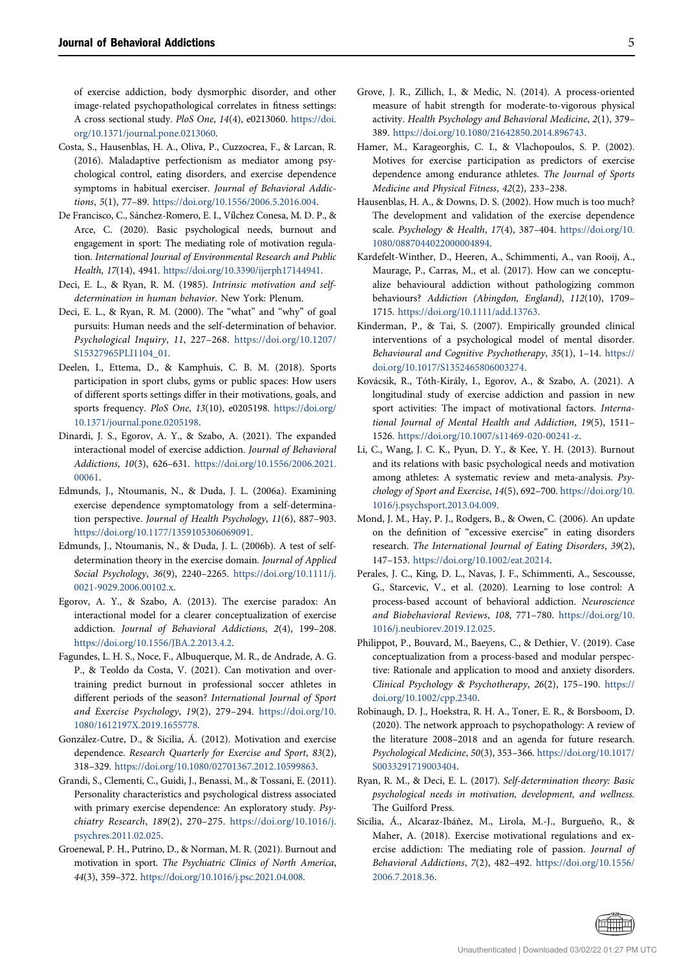of exercise addiction, body dysmorphic disorder, and other image-related psychopathological correlates in fitness settings: A cross sectional study. PloS One, 14(4), e0213060. [https://doi.](https://doi.org/10.1371/journal.pone.0213060) [org/10.1371/journal.pone.0213060](https://doi.org/10.1371/journal.pone.0213060).

- <span id="page-4-10"></span>Costa, S., Hausenblas, H. A., Oliva, P., Cuzzocrea, F., & Larcan, R. (2016). Maladaptive perfectionism as mediator among psychological control, eating disorders, and exercise dependence symptoms in habitual exerciser. Journal of Behavioral Addictions, 5(1), 77–89. [https://doi.org/10.1556/2006.5.2016.004.](https://doi.org/10.1556/2006.5.2016.004)
- <span id="page-4-13"></span>De Francisco, C., Sánchez-Romero, E. I., Vílchez Conesa, M. D. P., & Arce, C. (2020). Basic psychological needs, burnout and engagement in sport: The mediating role of motivation regulation. International Journal of Environmental Research and Public Health, 17(14), 4941. <https://doi.org/10.3390/ijerph17144941>.
- <span id="page-4-2"></span>Deci, E. L., & Ryan, R. M. (1985). Intrinsic motivation and selfdetermination in human behavior. New York: Plenum.
- <span id="page-4-3"></span>Deci, E. L., & Ryan, R. M. (2000). The "what" and "why" of goal pursuits: Human needs and the self-determination of behavior. Psychological Inquiry, 11, 227–268. [https://doi.org/10.1207/](https://doi.org/10.1207/S15327965PLI1104_01) [S15327965PLI1104\\_01.](https://doi.org/10.1207/S15327965PLI1104_01)
- <span id="page-4-21"></span>Deelen, I., Ettema, D., & Kamphuis, C. B. M. (2018). Sports participation in sport clubs, gyms or public spaces: How users of different sports settings differ in their motivations, goals, and sports frequency. PloS One, 13(10), e0205198. [https://doi.org/](https://doi.org/10.1371/journal.pone.0205198) [10.1371/journal.pone.0205198](https://doi.org/10.1371/journal.pone.0205198).
- <span id="page-4-0"></span>Dinardi, J. S., Egorov, A. Y., & Szabo, A. (2021). The expanded interactional model of exercise addiction. Journal of Behavioral Addictions, 10(3), 626–631. [https://doi.org/10.1556/2006.2021.](https://doi.org/10.1556/2006.2021.00061) [00061.](https://doi.org/10.1556/2006.2021.00061)
- <span id="page-4-15"></span>Edmunds, J., Ntoumanis, N., & Duda, J. L. (2006a). Examining exercise dependence symptomatology from a self-determination perspective. Journal of Health Psychology, 11(6), 887–903. [https://doi.org/10.1177/1359105306069091.](https://doi.org/10.1177/1359105306069091)
- <span id="page-4-5"></span>Edmunds, J., Ntoumanis, N., & Duda, J. L. (2006b). A test of selfdetermination theory in the exercise domain. Journal of Applied Social Psychology, 36(9), 2240–2265. [https://doi.org/10.1111/j.](https://doi.org/10.1111/j.0021-9029.2006.00102.x) [0021-9029.2006.00102.x.](https://doi.org/10.1111/j.0021-9029.2006.00102.x)
- <span id="page-4-1"></span>Egorov, A. Y., & Szabo, A. (2013). The exercise paradox: An interactional model for a clearer conceptualization of exercise addiction. Journal of Behavioral Addictions, 2(4), 199–208. <https://doi.org/10.1556/JBA.2.2013.4.2>.
- <span id="page-4-14"></span>Fagundes, L. H. S., Noce, F., Albuquerque, M. R., de Andrade, A. G. P., & Teoldo da Costa, V. (2021). Can motivation and overtraining predict burnout in professional soccer athletes in different periods of the season? International Journal of Sport and Exercise Psychology, 19(2), 279–294. [https://doi.org/10.](https://doi.org/10.1080/1612197X.2019.1655778) [1080/1612197X.2019.1655778](https://doi.org/10.1080/1612197X.2019.1655778).
- <span id="page-4-6"></span>González-Cutre, D., & Sicilia, Á. (2012). Motivation and exercise dependence. Research Quarterly for Exercise and Sport, 83(2), 318–329. <https://doi.org/10.1080/02701367.2012.10599863>.
- <span id="page-4-20"></span>Grandi, S., Clementi, C., Guidi, J., Benassi, M., & Tossani, E. (2011). Personality characteristics and psychological distress associated with primary exercise dependence: An exploratory study. Psychiatry Research, 189(2), 270–275. [https://doi.org/10.1016/j.](https://doi.org/10.1016/j.psychres.2011.02.025) [psychres.2011.02.025.](https://doi.org/10.1016/j.psychres.2011.02.025)
- <span id="page-4-11"></span>Groenewal, P. H., Putrino, D., & Norman, M. R. (2021). Burnout and motivation in sport. The Psychiatric Clinics of North America, 44(3), 359–372. [https://doi.org/10.1016/j.psc.2021.04.008.](https://doi.org/10.1016/j.psc.2021.04.008)
- <span id="page-4-25"></span>Grove, J. R., Zillich, I., & Medic, N. (2014). A process-oriented measure of habit strength for moderate-to-vigorous physical activity. Health Psychology and Behavioral Medicine, 2(1), 379– 389. <https://doi.org/10.1080/21642850.2014.896743>.
- <span id="page-4-7"></span>Hamer, M., Karageorghis, C. I., & Vlachopoulos, S. P. (2002). Motives for exercise participation as predictors of exercise dependence among endurance athletes. The Journal of Sports Medicine and Physical Fitness, 42(2), 233–238.
- <span id="page-4-17"></span>Hausenblas, H. A., & Downs, D. S. (2002). How much is too much? The development and validation of the exercise dependence scale. Psychology & Health, 17(4), 387-404. [https://doi.org/10.](https://doi.org/10.1080/0887044022000004894) [1080/0887044022000004894](https://doi.org/10.1080/0887044022000004894).
- <span id="page-4-16"></span>Kardefelt-Winther, D., Heeren, A., Schimmenti, A., van Rooij, A., Maurage, P., Carras, M., et al. (2017). How can we conceptualize behavioural addiction without pathologizing common behaviours? Addiction (Abingdon, England), 112(10), 1709– 1715. [https://doi.org/10.1111/add.13763.](https://doi.org/10.1111/add.13763)
- <span id="page-4-22"></span>Kinderman, P., & Tai, S. (2007). Empirically grounded clinical interventions of a psychological model of mental disorder. Behavioural and Cognitive Psychotherapy, 35(1), 1–14. [https://](https://doi.org/10.1017/S1352465806003274) [doi.org/10.1017/S1352465806003274](https://doi.org/10.1017/S1352465806003274).
- <span id="page-4-8"></span>Kovácsik, R., Tóth-Király, I., Egorov, A., & Szabo, A. (2021). A longitudinal study of exercise addiction and passion in new sport activities: The impact of motivational factors. International Journal of Mental Health and Addiction, 19(5), 1511– 1526. [https://doi.org/10.1007/s11469-020-00241-z.](https://doi.org/10.1007/s11469-020-00241-z)
- <span id="page-4-12"></span>Li, C., Wang, J. C. K., Pyun, D. Y., & Kee, Y. H. (2013). Burnout and its relations with basic psychological needs and motivation among athletes: A systematic review and meta-analysis. Psychology of Sport and Exercise, 14(5), 692–700. [https://doi.org/10.](https://doi.org/10.1016/j.psychsport.2013.04.009) [1016/j.psychsport.2013.04.009](https://doi.org/10.1016/j.psychsport.2013.04.009).
- <span id="page-4-18"></span>Mond, J. M., Hay, P. J., Rodgers, B., & Owen, C. (2006). An update on the definition of "excessive exercise" in eating disorders research. The International Journal of Eating Disorders, 39(2), 147–153. <https://doi.org/10.1002/eat.20214>.
- <span id="page-4-19"></span>Perales, J. C., King, D. L., Navas, J. F., Schimmenti, A., Sescousse, G., Starcevic, V., et al. (2020). Learning to lose control: A process-based account of behavioral addiction. Neuroscience and Biobehavioral Reviews, 108, 771–780. [https://doi.org/10.](https://doi.org/10.1016/j.neubiorev.2019.12.025) [1016/j.neubiorev.2019.12.025.](https://doi.org/10.1016/j.neubiorev.2019.12.025)
- <span id="page-4-23"></span>Philippot, P., Bouvard, M., Baeyens, C., & Dethier, V. (2019). Case conceptualization from a process-based and modular perspective: Rationale and application to mood and anxiety disorders. Clinical Psychology & Psychotherapy, 26(2), 175–190. [https://](https://doi.org/10.1002/cpp.2340) [doi.org/10.1002/cpp.2340](https://doi.org/10.1002/cpp.2340).
- <span id="page-4-24"></span>Robinaugh, D. J., Hoekstra, R. H. A., Toner, E. R., & Borsboom, D. (2020). The network approach to psychopathology: A review of the literature 2008–2018 and an agenda for future research. Psychological Medicine, 50(3), 353–366. [https://doi.org/10.1017/](https://doi.org/10.1017/S0033291719003404) [S0033291719003404](https://doi.org/10.1017/S0033291719003404).
- <span id="page-4-4"></span>Ryan, R. M., & Deci, E. L. (2017). Self-determination theory: Basic psychological needs in motivation, development, and wellness. The Guilford Press.
- <span id="page-4-9"></span>Sicilia, Á., Alcaraz-Ibáñez, M., Lirola, M.-J., Burgueño, R., & Maher, A. (2018). Exercise motivational regulations and exercise addiction: The mediating role of passion. Journal of Behavioral Addictions, 7(2), 482–492. [https://doi.org/10.1556/](https://doi.org/10.1556/2006.7.2018.36) [2006.7.2018.36](https://doi.org/10.1556/2006.7.2018.36).